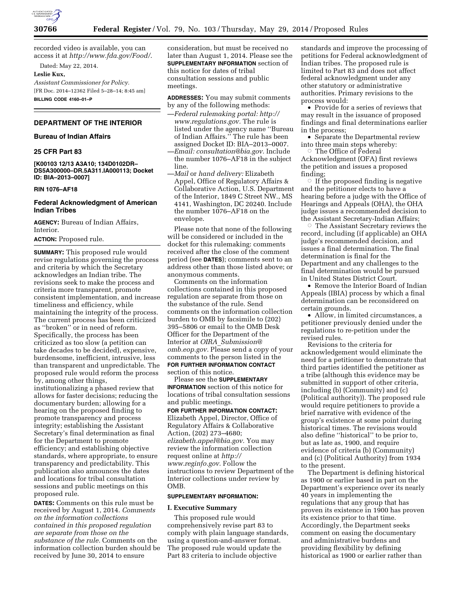

recorded video is available, you can access it at *<http://www.fda.gov/Food/>*.

Dated: May 22, 2014.

# **Leslie Kux,**

*Assistant Commissioner for Policy.*  [FR Doc. 2014–12362 Filed 5–28–14; 8:45 am] **BILLING CODE 4160–01–P** 

## **DEPARTMENT OF THE INTERIOR**

#### **Bureau of Indian Affairs**

#### **25 CFR Part 83**

**[K00103 12/13 A3A10; 134D0102DR– DS5A300000–DR.5A311.IA000113; Docket ID: BIA–2013–0007]** 

#### **RIN 1076–AF18**

## **Federal Acknowledgment of American Indian Tribes**

**AGENCY:** Bureau of Indian Affairs, Interior.

## **ACTION:** Proposed rule.

**SUMMARY:** This proposed rule would revise regulations governing the process and criteria by which the Secretary acknowledges an Indian tribe. The revisions seek to make the process and criteria more transparent, promote consistent implementation, and increase timeliness and efficiency, while maintaining the integrity of the process. The current process has been criticized as ''broken'' or in need of reform. Specifically, the process has been criticized as too slow (a petition can take decades to be decided), expensive, burdensome, inefficient, intrusive, less than transparent and unpredictable. The proposed rule would reform the process by, among other things, institutionalizing a phased review that allows for faster decisions; reducing the documentary burden; allowing for a hearing on the proposed finding to promote transparency and process integrity; establishing the Assistant Secretary's final determination as final for the Department to promote efficiency; and establishing objective standards, where appropriate, to ensure transparency and predictability. This publication also announces the dates and locations for tribal consultation sessions and public meetings on this proposed rule.

**DATES:** Comments on this rule must be received by August 1, 2014. *Comments on the information collections contained in this proposed regulation are separate from those on the substance of the rule.* Comments on the information collection burden should be received by June 30, 2014 to ensure

consideration, but must be received no later than August 1, 2014. Please see the **SUPPLEMENTARY INFORMATION** section of this notice for dates of tribal consultation sessions and public meetings.

**ADDRESSES:** You may submit comments by any of the following methods:

- —*Federal rulemaking portal: [http://](http://www.regulations.gov) [www.regulations.gov.](http://www.regulations.gov)* The rule is listed under the agency name ''Bureau of Indian Affairs.'' The rule has been assigned Docket ID: BIA–2013–0007.
- *—Email: [consultation@bia.gov.](mailto:consultation@bia.gov)* Include the number 1076–AF18 in the subject line.
- —*Mail* or *hand delivery:* Elizabeth Appel, Office of Regulatory Affairs & Collaborative Action, U.S. Department of the Interior, 1849 C Street NW., MS 4141, Washington, DC 20240. Include the number 1076–AF18 on the envelope.

Please note that none of the following will be considered or included in the docket for this rulemaking: comments received after the close of the comment period (see **DATES**); comments sent to an address other than those listed above; or anonymous comments.

Comments on the information collections contained in this proposed regulation are separate from those on the substance of the rule. Send comments on the information collection burden to OMB by facsimile to (202) 395–5806 or email to the OMB Desk Officer for the Department of the Interior at *OIRA*\_*[Submission@](mailto:OIRA_Submission@omb.eop.gov) [omb.eop.gov.](mailto:OIRA_Submission@omb.eop.gov)* Please send a copy of your comments to the person listed in the **FOR FURTHER INFORMATION CONTACT** section of this notice.

Please see the **SUPPLEMENTARY INFORMATION** section of this notice for locations of tribal consultation sessions and public meetings.

#### **FOR FURTHER INFORMATION CONTACT:**

Elizabeth Appel, Director, Office of Regulatory Affairs & Collaborative Action, (202) 273–4680; *[elizabeth.appel@bia.gov.](mailto:elizabeth.appel@bia.gov)* You may review the information collection request online at *[http://](http://www.reginfo.gov) [www.reginfo.gov.](http://www.reginfo.gov)* Follow the instructions to review Department of the Interior collections under review by OMB.

#### **SUPPLEMENTARY INFORMATION:**

#### **I. Executive Summary**

This proposed rule would comprehensively revise part 83 to comply with plain language standards, using a question-and-answer format. The proposed rule would update the Part 83 criteria to include objective

standards and improve the processing of petitions for Federal acknowledgment of Indian tribes. The proposed rule is limited to Part 83 and does not affect federal acknowledgment under any other statutory or administrative authorities. Primary revisions to the process would:

• Provide for a series of reviews that may result in the issuance of proposed findings and final determinations earlier in the process;

• Separate the Departmental review into three main steps whereby:

Æ The Office of Federal Acknowledgment (OFA) first reviews the petition and issues a proposed finding;

 $\circ$  If the proposed finding is negative and the petitioner elects to have a hearing before a judge with the Office of Hearings and Appeals (OHA), the OHA judge issues a recommended decision to the Assistant Secretary-Indian Affairs; Æ

 The Assistant Secretary reviews the record, including (if applicable) an OHA judge's recommended decision, and issues a final determination. The final determination is final for the Department and any challenges to the final determination would be pursued in United States District Court.

• Remove the Interior Board of Indian Appeals (IBIA) process by which a final determination can be reconsidered on certain grounds.

• Allow, in limited circumstances, a petitioner previously denied under the regulations to re-petition under the revised rules.

Revisions to the criteria for acknowledgement would eliminate the need for a petitioner to demonstrate that third parties identified the petitioner as a tribe (although this evidence may be submitted in support of other criteria, including (b) (Community) and (c) (Political authority)). The proposed rule would require petitioners to provide a brief narrative with evidence of the group's existence at some point during historical times. The revisions would also define ''historical'' to be prior to, but as late as, 1900, and require evidence of criteria (b) (Community) and (c) (Political Authority) from 1934 to the present.

The Department is defining historical as 1900 or earlier based in part on the Department's experience over its nearly 40 years in implementing the regulations that any group that has proven its existence in 1900 has proven its existence prior to that time. Accordingly, the Department seeks comment on easing the documentary and administrative burdens and providing flexibility by defining historical as 1900 or earlier rather than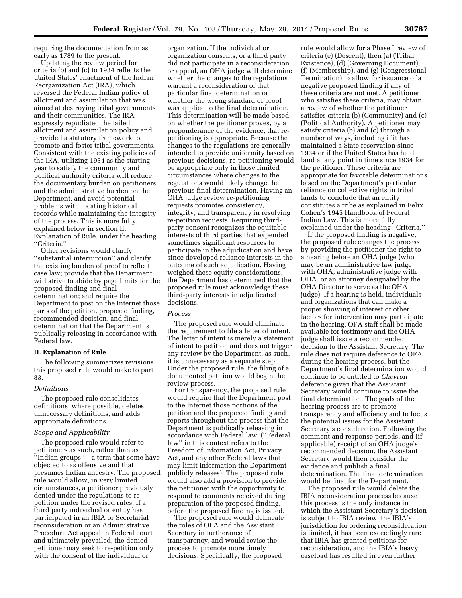requiring the documentation from as early as 1789 to the present.

Updating the review period for criteria (b) and (c) to 1934 reflects the United States' enactment of the Indian Reorganization Act (IRA), which reversed the Federal Indian policy of allotment and assimilation that was aimed at destroying tribal governments and their communities. The IRA expressly repudiated the failed allotment and assimilation policy and provided a statutory framework to promote and foster tribal governments. Consistent with the existing policies of the IRA, utilizing 1934 as the starting year to satisfy the community and political authority criteria will reduce the documentary burden on petitioners and the administrative burden on the Department, and avoid potential problems with locating historical records while maintaining the integrity of the process. This is more fully explained below in section II, Explanation of Rule, under the heading ''Criteria.''

Other revisions would clarify ''substantial interruption'' and clarify the existing burden of proof to reflect case law; provide that the Department will strive to abide by page limits for the proposed finding and final determination; and require the Department to post on the Internet those parts of the petition, proposed finding, recommended decision, and final determination that the Department is publically releasing in accordance with Federal law.

### **II. Explanation of Rule**

The following summarizes revisions this proposed rule would make to part 83.

#### *Definitions*

The proposed rule consolidates definitions, where possible, deletes unnecessary definitions, and adds appropriate definitions.

# *Scope and Applicability*

The proposed rule would refer to petitioners as such, rather than as ''Indian groups''—a term that some have objected to as offensive and that presumes Indian ancestry. The proposed rule would allow, in very limited circumstances, a petitioner previously denied under the regulations to repetition under the revised rules. If a third party individual or entity has participated in an IBIA or Secretarial reconsideration or an Administrative Procedure Act appeal in Federal court and ultimately prevailed, the denied petitioner may seek to re-petition only with the consent of the individual or

organization. If the individual or organization consents, or a third party did not participate in a reconsideration or appeal, an OHA judge will determine whether the changes to the regulations warrant a reconsideration of that particular final determination or whether the wrong standard of proof was applied to the final determination. This determination will be made based on whether the petitioner proves, by a preponderance of the evidence, that repetitioning is appropriate. Because the changes to the regulations are generally intended to provide uniformity based on previous decisions, re-petitioning would be appropriate only in those limited circumstances where changes to the regulations would likely change the previous final determination. Having an OHA judge review re-petitioning requests promotes consistency, integrity, and transparency in resolving re-petition requests. Requiring thirdparty consent recognizes the equitable interests of third parties that expended sometimes significant resources to participate in the adjudication and have since developed reliance interests in the outcome of such adjudication. Having weighed these equity considerations, the Department has determined that the proposed rule must acknowledge these third-party interests in adjudicated decisions.

#### *Process*

The proposed rule would eliminate the requirement to file a letter of intent. The letter of intent is merely a statement of intent to petition and does not trigger any review by the Department; as such, it is unnecessary as a separate step. Under the proposed rule, the filing of a documented petition would begin the review process.

For transparency, the proposed rule would require that the Department post to the Internet those portions of the petition and the proposed finding and reports throughout the process that the Department is publically releasing in accordance with Federal law. (''Federal law'' in this context refers to the Freedom of Information Act, Privacy Act, and any other Federal laws that may limit information the Department publicly releases). The proposed rule would also add a provision to provide the petitioner with the opportunity to respond to comments received during preparation of the proposed finding, before the proposed finding is issued.

The proposed rule would delineate the roles of OFA and the Assistant Secretary in furtherance of transparency, and would revise the process to promote more timely decisions. Specifically, the proposed

rule would allow for a Phase I review of criteria (e) (Descent), then (a) (Tribal Existence), (d) (Governing Document), (f) (Membership), and (g) (Congressional Termination) to allow for issuance of a negative proposed finding if any of these criteria are not met. A petitioner who satisfies these criteria, may obtain a review of whether the petitioner satisfies criteria (b) (Community) and (c) (Political Authority). A petitioner may satisfy criteria (b) and (c) through a number of ways, including if it has maintained a State reservation since 1934 or if the United States has held land at any point in time since 1934 for the petitioner. These criteria are appropriate for favorable determinations based on the Department's particular reliance on collective rights in tribal lands to conclude that an entity constitutes a tribe as explained in Felix Cohen's 1945 Handbook of Federal Indian Law. This is more fully explained under the heading ''Criteria.''

If the proposed finding is negative, the proposed rule changes the process by providing the petitioner the right to a hearing before an OHA judge (who may be an administrative law judge with OHA, administrative judge with OHA, or an attorney designated by the OHA Director to serve as the OHA judge). If a hearing is held, individuals and organizations that can make a proper showing of interest or other factors for intervention may participate in the hearing, OFA staff shall be made available for testimony and the OHA judge shall issue a recommended decision to the Assistant Secretary. The rule does not require deference to OFA during the hearing process, but the Department's final determination would continue to be entitled to *Chevron*  deference given that the Assistant Secretary would continue to issue the final determination. The goals of the hearing process are to promote transparency and efficiency and to focus the potential issues for the Assistant Secretary's consideration. Following the comment and response periods, and (if applicable) receipt of an OHA judge's recommended decision, the Assistant Secretary would then consider the evidence and publish a final determination. The final determination would be final for the Department.

The proposed rule would delete the IBIA reconsideration process because this process is the only instance in which the Assistant Secretary's decision is subject to IBIA review, the IBIA's jurisdiction for ordering reconsideration is limited, it has been exceedingly rare that IBIA has granted petitions for reconsideration, and the IBIA's heavy caseload has resulted in even further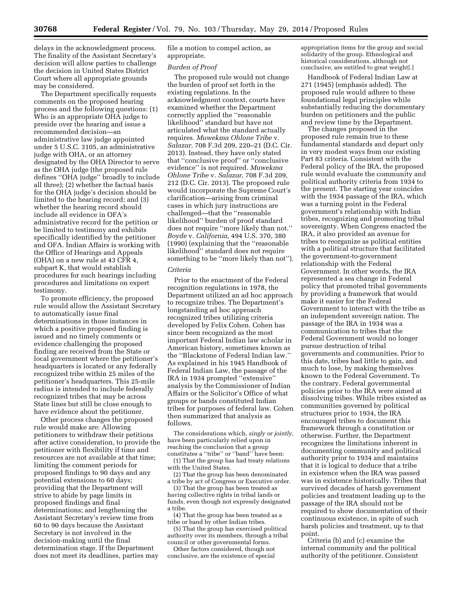delays in the acknowledgment process. The finality of the Assistant Secretary's decision will allow parties to challenge the decision in United States District Court where all appropriate grounds may be considered.

The Department specifically requests comments on the proposed hearing process and the following questions: (1) Who is an appropriate OHA judge to preside over the hearing and issue a recommended decision—an administrative law judge appointed under 5 U.S.C. 3105, an administrative judge with OHA, or an attorney designated by the OHA Director to serve as the OHA judge (the proposed rule defines ''OHA judge'' broadly to include all three); (2) whether the factual basis for the OHA judge's decision should be limited to the hearing record; and (3) whether the hearing record should include all evidence in OFA's administrative record for the petition or be limited to testimony and exhibits specifically identified by the petitioner and OFA. Indian Affairs is working with the Office of Hearings and Appeals (OHA) on a new rule at 43 CFR 4, subpart K, that would establish procedures for such hearings including procedures and limitations on expert testimony.

To promote efficiency, the proposed rule would allow the Assistant Secretary to automatically issue final determinations in those instances in which a positive proposed finding is issued and no timely comments or evidence challenging the proposed finding are received from the State or local government where the petitioner's headquarters is located or any federally recognized tribe within 25 miles of the petitioner's headquarters. This 25-mile radius is intended to include federally recognized tribes that may be across State lines but still be close enough to have evidence about the petitioner.

Other process changes the proposed rule would make are: Allowing petitioners to withdraw their petitions after active consideration, to provide the petitioner with flexibility if time and resources are not available at that time; limiting the comment periods for proposed findings to 90 days and any potential extensions to 60 days; providing that the Department will strive to abide by page limits in proposed findings and final determinations; and lengthening the Assistant Secretary's review time from 60 to 90 days because the Assistant Secretary is not involved in the decision-making until the final determination stage. If the Department does not meet its deadlines, parties may

file a motion to compel action, as appropriate.

#### *Burden of Proof*

The proposed rule would not change the burden of proof set forth in the existing regulations. In the acknowledgment context, courts have examined whether the Department correctly applied the ''reasonable likelihood'' standard but have not articulated what the standard actually requires. *Muwekma Ohlone Tribe* v. *Salazar,* 708 F.3d 209, 220–21 (D.C. Cir. 2013). Instead, they have only stated that ''conclusive proof'' or ''conclusive evidence'' is not required. *Muwekma Ohlone Tribe* v. *Salazar,* 708 F.3d 209, 212 (D.C. Cir. 2013). The proposed rule would incorporate the Supreme Court's clarification—arising from criminal cases in which jury instructions are challenged—that the ''reasonable likelihood'' burden of proof standard does not require ''more likely than not.'' *Boyde* v. *California,* 494 U.S. 370, 380 (1990) (explaining that the ''reasonable likelihood'' standard does not require something to be ''more likely than not'').

### *Criteria*

Prior to the enactment of the Federal recognition regulations in 1978, the Department utilized an ad hoc approach to recognize tribes. The Department's longstanding ad hoc approach recognized tribes utilizing criteria developed by Felix Cohen. Cohen has since been recognized as the most important Federal Indian law scholar in American history, sometimes known as the ''Blackstone of Federal Indian law.'' As explained in his 1945 Handbook of Federal Indian Law, the passage of the IRA in 1934 prompted ''extensive'' analysis by the Commissioner of Indian Affairs or the Solicitor's Office of what groups or bands constituted Indian tribes for purposes of federal law. Cohen then summarized that analysis as follows.

The considerations which, *singly or jointly,*  have been particularly relied upon in reaching the conclusion that a group constitutes a ''tribe'' or ''band'' have been:

(1) That the group has had treaty relations with the United States.

(2) That the group has been denominated a tribe by act of Congress or Executive order.

(3) That the group has been treated as having collective rights in tribal lands or funds, even though not expressly designated a tribe.

(4) That the group has been treated as a tribe or band by other Indian tribes.

(5) That the group has exercised political authority over its members, through a tribal council or other governmental forms.

Other factors considered, though not conclusive, are the existence of special appropriation items for the group and social solidarity of the group. Ethnological and historical considerations, although not conclusive, are entitled to great weight[.]

Handbook of Federal Indian Law at 271 (1945) (emphasis added). The proposed rule would adhere to these foundational legal principles while substantially reducing the documentary burden on petitioners and the public and review time by the Department.

The changes proposed in the proposed rule remain true to these fundamental standards and depart only in very modest ways from our existing Part 83 criteria. Consistent with the Federal policy of the IRA, the proposed rule would evaluate the community and political authority criteria from 1934 to the present. The starting year coincides with the 1934 passage of the IRA, which was a turning point in the Federal government's relationship with Indian tribes, recognizing and promoting tribal sovereignty. When Congress enacted the IRA, it also provided an avenue for tribes to reorganize as political entities with a political structure that facilitated the government-to-government relationship with the Federal Government. In other words, the IRA represented a sea change in Federal policy that promoted tribal governments by providing a framework that would make it easier for the Federal Government to interact with the tribe as an independent sovereign nation. The passage of the IRA in 1934 was a communication to tribes that the Federal Government would no longer pursue destruction of tribal governments and communities. Prior to this date, tribes had little to gain, and much to lose, by making themselves known to the Federal Government. To the contrary, Federal governmental policies prior to the IRA were aimed at dissolving tribes. While tribes existed as communities governed by political structures prior to 1934, the IRA encouraged tribes to document this framework through a constitution or otherwise. Further, the Department recognizes the limitations inherent in documenting community and political authority prior to 1934 and maintains that it is logical to deduce that a tribe in existence when the IRA was passed was in existence historically. Tribes that survived decades of harsh government policies and treatment leading up to the passage of the IRA should not be required to show documentation of their continuous existence, in spite of such harsh policies and treatment, up to that point.

Criteria (b) and (c) examine the internal community and the political authority of the petitioner. Consistent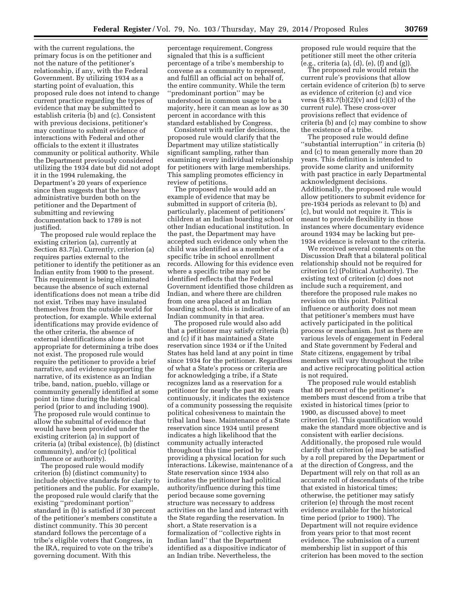with the current regulations, the primary focus is on the petitioner and not the nature of the petitioner's relationship, if any, with the Federal Government. By utilizing 1934 as a starting point of evaluation, this proposed rule does not intend to change current practice regarding the types of evidence that may be submitted to establish criteria (b) and (c). Consistent with previous decisions, petitioner's may continue to submit evidence of interactions with Federal and other officials to the extent it illustrates community or political authority. While the Department previously considered utilizing the 1934 date but did not adopt it in the 1994 rulemaking, the Department's 20 years of experience since then suggests that the heavy administrative burden both on the petitioner and the Department of submitting and reviewing documentation back to 1789 is not justified.

The proposed rule would replace the existing criterion (a), currently at Section 83.7(a). Currently, criterion (a) requires parties external to the petitioner to identify the petitioner as an Indian entity from 1900 to the present. This requirement is being eliminated because the absence of such external identifications does not mean a tribe did not exist. Tribes may have insulated themselves from the outside world for protection, for example. While external identifications may provide evidence of the other criteria, the absence of external identifications alone is not appropriate for determining a tribe does not exist. The proposed rule would require the petitioner to provide a brief narrative, and evidence supporting the narrative, of its existence as an Indian tribe, band, nation, pueblo, village or community generally identified at some point in time during the historical period (prior to and including 1900). The proposed rule would continue to allow the submittal of evidence that would have been provided under the existing criterion (a) in support of criteria (a) (tribal existence), (b) (distinct community), and/or (c) (political influence or authority).

The proposed rule would modify criterion (b) (distinct community) to include objective standards for clarity to petitioners and the public. For example, the proposed rule would clarify that the existing ''predominant portion'' standard in (b) is satisfied if 30 percent of the petitioner's members constitute a distinct community. This 30 percent standard follows the percentage of a tribe's eligible voters that Congress, in the IRA, required to vote on the tribe's governing document. With this

percentage requirement, Congress signaled that this is a sufficient percentage of a tribe's membership to convene as a community to represent, and fulfill an official act on behalf of, the entire community. While the term ''predominant portion'' may be understood in common usage to be a majority, here it can mean as low as 30 percent in accordance with this standard established by Congress.

Consistent with earlier decisions, the proposed rule would clarify that the Department may utilize statistically significant sampling, rather than examining every individual relationship for petitioners with large memberships. This sampling promotes efficiency in review of petitions.

The proposed rule would add an example of evidence that may be submitted in support of criteria (b), particularly, placement of petitioners' children at an Indian boarding school or other Indian educational institution. In the past, the Department may have accepted such evidence only when the child was identified as a member of a specific tribe in school enrollment records. Allowing for this evidence even where a specific tribe may not be identified reflects that the Federal Government identified those children as Indian, and where there are children from one area placed at an Indian boarding school, this is indicative of an Indian community in that area.

The proposed rule would also add that a petitioner may satisfy criteria (b) and (c) if it has maintained a State reservation since 1934 or if the United States has held land at any point in time since 1934 for the petitioner. Regardless of what a State's process or criteria are for acknowledging a tribe, if a State recognizes land as a reservation for a petitioner for nearly the past 80 years continuously, it indicates the existence of a community possessing the requisite political cohesiveness to maintain the tribal land base. Maintenance of a State reservation since 1934 until present indicates a high likelihood that the community actually interacted throughout this time period by providing a physical location for such interactions. Likewise, maintenance of a State reservation since 1934 also indicates the petitioner had political authority/influence during this time period because some governing structure was necessary to address activities on the land and interact with the State regarding the reservation. In short, a State reservation is a formalization of ''collective rights in Indian land'' that the Department identified as a dispositive indicator of an Indian tribe. Nevertheless, the

proposed rule would require that the petitioner still meet the other criteria (e.g., criteria (a), (d), (e), (f) and (g)).

The proposed rule would retain the current rule's provisions that allow certain evidence of criterion (b) to serve as evidence of criterion (c) and vice versa  $(\S 83.7(b)(2)(v)$  and  $(c)(3)$  of the current rule). These cross-over provisions reflect that evidence of criteria (b) and (c) may combine to show the existence of a tribe.

The proposed rule would define ''substantial interruption'' in criteria (b) and (c) to mean generally more than 20 years. This definition is intended to provide some clarity and uniformity with past practice in early Departmental acknowledgment decisions. Additionally, the proposed rule would allow petitioners to submit evidence for pre-1934 periods as relevant to (b) and (c), but would not require it. This is meant to provide flexibility in those instances where documentary evidence around 1934 may be lacking but pre-1934 evidence is relevant to the criteria.

We received several comments on the Discussion Draft that a bilateral political relationship should not be required for criterion (c) (Political Authority). The existing text of criterion (c) does not include such a requirement, and therefore the proposed rule makes no revision on this point. Political influence or authority does not mean that petitioner's members must have actively participated in the political process or mechanism. Just as there are various levels of engagement in Federal and State government by Federal and State citizens, engagement by tribal members will vary throughout the tribe and active reciprocating political action is not required.

The proposed rule would establish that 80 percent of the petitioner's members must descend from a tribe that existed in historical times (prior to 1900, as discussed above) to meet criterion (e). This quantification would make the standard more objective and is consistent with earlier decisions. Additionally, the proposed rule would clarify that criterion (e) may be satisfied by a roll prepared by the Department or at the direction of Congress, and the Department will rely on that roll as an accurate roll of descendants of the tribe that existed in historical times; otherwise, the petitioner may satisfy criterion (e) through the most recent evidence available for the historical time period (prior to 1900). The Department will not require evidence from years prior to that most recent evidence. The submission of a current membership list in support of this criterion has been moved to the section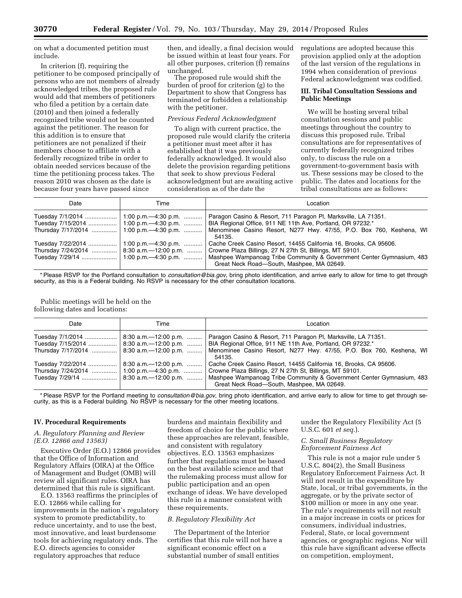on what a documented petition must include.

In criterion (f), requiring the petitioner to be composed principally of persons who are not members of already acknowledged tribes, the proposed rule would add that members of petitioners who filed a petition by a certain date (2010) and then joined a federally recognized tribe would not be counted against the petitioner. The reason for this addition is to ensure that petitioners are not penalized if their members choose to affiliate with a federally recognized tribe in order to obtain needed services because of the time the petitioning process takes. The reason 2010 was chosen as the date is because four years have passed since

then, and ideally, a final decision would be issued within at least four years. For all other purposes, criterion (f) remains unchanged.

The proposed rule would shift the burden of proof for criterion (g) to the Department to show that Congress has terminated or forbidden a relationship with the petitioner.

## *Previous Federal Acknowledgment*

To align with current practice, the proposed rule would clarify the criteria a petitioner must meet after it has established that it was previously federally acknowledged. It would also delete the provision regarding petitions that seek to show previous Federal acknowledgment but are awaiting active consideration as of the date the

regulations are adopted because this provision applied only at the adoption of the last version of the regulations in 1994 when consideration of previous Federal acknowledgment was codified.

## **III. Tribal Consultation Sessions and Public Meetings**

We will be hosting several tribal consultation sessions and public meetings throughout the country to discuss this proposed rule. Tribal consultations are for representatives of currently federally recognized tribes only, to discuss the rule on a government-to-government basis with us. These sessions may be closed to the public. The dates and locations for the tribal consultations are as follows:

| Date                                       | Time                | Location                                                                                                                     |
|--------------------------------------------|---------------------|------------------------------------------------------------------------------------------------------------------------------|
|                                            |                     | Paragon Casino & Resort, 711 Paragon PI, Marksville, LA 71351.<br>BIA Regional Office, 911 NE 11th Ave, Portland, OR 97232.* |
|                                            |                     | Thursday 7/17/2014    1:00 p.m.—4:30 p.m.    Menominee Casino Resort, N277 Hwy. 47/55, P.O. Box 760, Keshena, WI<br>54135.   |
| Tuesday 7/22/2014                          | 1:00 p.m.—4:30 p.m. | Cache Creek Casino Resort, 14455 California 16, Brooks, CA 95606.                                                            |
| Thursday 7/24/2014    8:30 a.m.—12:00 p.m. |                     | Crowne Plaza Billings, 27 N 27th St, Billings, MT 59101.                                                                     |
|                                            |                     | Mashpee Wampanoag Tribe Community & Government Center Gymnasium, 483<br>Great Neck Road-South, Mashpee, MA 02649.            |

\* Please RSVP for the Portland consultation to *[consultation@bia.gov](mailto:consultation@bia.gov)*, bring photo identification, and arrive early to allow for time to get through security, as this is a Federal building. No RSVP is necessary for the other consultation locations.

Public meetings will be held on the following dates and locations:

| Date              | Time | Location                                                                                                          |
|-------------------|------|-------------------------------------------------------------------------------------------------------------------|
| Tuesday 7/1/2014  |      | 8:30 a.m.—12:00 p.m.    Paragon Casino & Resort, 711 Paragon PI, Marksville, LA 71351.                            |
|                   |      | Tuesday 7/15/2014  8:30 a.m.—12:00 p.m.  BIA Regional Office, 911 NE 11th Ave, Portland, OR 97232.*               |
|                   |      | Thursday 7/17/2014    8:30 a.m.—12:00 p.m.    Menominee Casino Resort, N277 Hwy. 47/55, P.O. Box 760, Keshena, WI |
|                   |      | 54135.                                                                                                            |
| Tuesday 7/22/2014 |      | 8:30 a.m.—12:00 p.m.    Cache Creek Casino Resort, 14455 California 16, Brooks, CA 95606.                         |
|                   |      | Thursday 7/24/2014    1:00 p.m.—4:30 p.m.    Crowne Plaza Billings, 27 N 27th St, Billings, MT 59101.             |
|                   |      | Mashpee Wampanoag Tribe Community & Government Center Gymnasium, 483<br>Great Neck Road-South, Mashpee, MA 02649. |

\* Please RSVP for the Portland meeting to *[consultation@bia.gov](mailto:consultation@bia.gov)*, bring photo identification, and arrive early to allow for time to get through security, as this is a Federal building. No RSVP is necessary for the other meeting locations.

## **IV. Procedural Requirements**

### *A. Regulatory Planning and Review (E.O. 12866 and 13563)*

Executive Order (E.O.) 12866 provides that the Office of Information and Regulatory Affairs (OIRA) at the Office of Management and Budget (OMB) will review all significant rules. OIRA has determined that this rule is significant.

E.O. 13563 reaffirms the principles of E.O. 12866 while calling for improvements in the nation's regulatory system to promote predictability, to reduce uncertainty, and to use the best, most innovative, and least burdensome tools for achieving regulatory ends. The E.O. directs agencies to consider regulatory approaches that reduce

burdens and maintain flexibility and freedom of choice for the public where these approaches are relevant, feasible, and consistent with regulatory objectives. E.O. 13563 emphasizes further that regulations must be based on the best available science and that the rulemaking process must allow for public participation and an open exchange of ideas. We have developed this rule in a manner consistent with these requirements.

### *B. Regulatory Flexibility Act*

The Department of the Interior certifies that this rule will not have a significant economic effect on a substantial number of small entities

under the Regulatory Flexibility Act (5 U.S.C. 601 *et seq.*).

## *C. Small Business Regulatory Enforcement Fairness Act*

This rule is not a major rule under 5 U.S.C. 804(2), the Small Business Regulatory Enforcement Fairness Act. It will not result in the expenditure by State, local, or tribal governments, in the aggregate, or by the private sector of \$100 million or more in any one year. The rule's requirements will not result in a major increase in costs or prices for consumers, individual industries, Federal, State, or local government agencies, or geographic regions. Nor will this rule have significant adverse effects on competition, employment,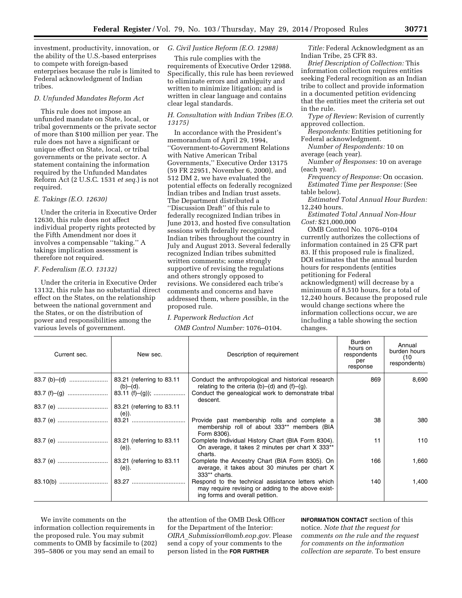investment, productivity, innovation, or the ability of the U.S.-based enterprises to compete with foreign-based enterprises because the rule is limited to Federal acknowledgment of Indian tribes.

### *D. Unfunded Mandates Reform Act*

This rule does not impose an unfunded mandate on State, local, or tribal governments or the private sector of more than \$100 million per year. The rule does not have a significant or unique effect on State, local, or tribal governments or the private sector. A statement containing the information required by the Unfunded Mandates Reform Act (2 U.S.C. 1531 *et seq.*) is not required.

## *E. Takings (E.O. 12630)*

Under the criteria in Executive Order 12630, this rule does not affect individual property rights protected by the Fifth Amendment nor does it involves a compensable ''taking.'' A takings implication assessment is therefore not required.

## *F. Federalism (E.O. 13132)*

Under the criteria in Executive Order 13132, this rule has no substantial direct effect on the States, on the relationship between the national government and the States, or on the distribution of power and responsibilities among the various levels of government.

## *G. Civil Justice Reform (E.O. 12988)*

This rule complies with the requirements of Executive Order 12988. Specifically, this rule has been reviewed to eliminate errors and ambiguity and written to minimize litigation; and is written in clear language and contains clear legal standards.

## *H. Consultation with Indian Tribes (E.O. 13175)*

In accordance with the President's memorandum of April 29, 1994, ''Government-to-Government Relations with Native American Tribal Governments,'' Executive Order 13175 (59 FR 22951, November 6, 2000), and 512 DM 2, we have evaluated the potential effects on federally recognized Indian tribes and Indian trust assets. The Department distributed a ''Discussion Draft'' of this rule to federally recognized Indian tribes in June 2013, and hosted five consultation sessions with federally recognized Indian tribes throughout the country in July and August 2013. Several federally recognized Indian tribes submitted written comments; some strongly supportive of revising the regulations and others strongly opposed to revisions. We considered each tribe's comments and concerns and have addressed them, where possible, in the proposed rule.

#### *I. Paperwork Reduction Act*

*OMB Control Number:* 1076–0104.

*Title:* Federal Acknowledgment as an Indian Tribe, 25 CFR 83.

*Brief Description of Collection:* This information collection requires entities seeking Federal recognition as an Indian tribe to collect and provide information in a documented petition evidencing that the entities meet the criteria set out in the rule.

*Type of Review:* Revision of currently approved collection.

*Respondents:* Entities petitioning for Federal acknowledgment.

*Number of Respondents:* 10 on average (each year).

*Number of Responses:* 10 on average (each year).

*Frequency of Response:* On occasion. *Estimated Time per Response:* (See table below).

*Estimated Total Annual Hour Burden:*  12,240 hours.

*Estimated Total Annual Non-Hour Cost:* \$21,000,000

OMB Control No. 1076–0104 currently authorizes the collections of information contained in 25 CFR part 83. If this proposed rule is finalized, DOI estimates that the annual burden hours for respondents (entities petitioning for Federal acknowledgment) will decrease by a minimum of 8,510 hours, for a total of 12,240 hours. Because the proposed rule would change sections where the information collections occur, we are including a table showing the section changes.

| Current sec.                              | New sec.    | Description of requirement                                                                                                                                                           | <b>Burden</b><br>hours on<br>respondents<br>per<br>response | Annual<br>burden hours<br>(10)<br>respondents) |
|-------------------------------------------|-------------|--------------------------------------------------------------------------------------------------------------------------------------------------------------------------------------|-------------------------------------------------------------|------------------------------------------------|
| 83.7 (b)-(d)    83.21 (referring to 83.11 | $(b)–(d)$ . | Conduct the anthropological and historical research<br>relating to the criteria $(b)$ – $(d)$ and $(f)$ – $(g)$ .<br>Conduct the genealogical work to demonstrate tribal<br>descent. | 869                                                         | 8,690                                          |
|                                           | (e)).       |                                                                                                                                                                                      |                                                             |                                                |
|                                           |             | Provide past membership rolls and complete a<br>membership roll of about 333** members (BIA<br>Form 8306).                                                                           | 38                                                          | 380                                            |
|                                           | (e)).       | Complete Individual History Chart (BIA Form 8304).<br>On average, it takes 2 minutes per chart X 333**<br>charts.                                                                    | 11                                                          | 110                                            |
|                                           | (e)).       | Complete the Ancestry Chart (BIA Form 8305). On<br>average, it takes about 30 minutes per chart X<br>333** charts.                                                                   | 166                                                         | 1,660                                          |
|                                           |             | Respond to the technical assistance letters which<br>may require revising or adding to the above exist-<br>ing forms and overall petition.                                           | 140                                                         | 1,400                                          |

We invite comments on the information collection requirements in the proposed rule. You may submit comments to OMB by facsimile to (202) 395–5806 or you may send an email to

the attention of the OMB Desk Officer for the Department of the Interior: *OIRA*\_*[Submission@omb.eop.gov.](mailto:OIRA_Submission@omb.eop.gov)* Please send a copy of your comments to the person listed in the **FOR FURTHER**

**INFORMATION CONTACT** section of this notice. *Note that the request for comments on the rule and the request for comments on the information collection are separate.* To best ensure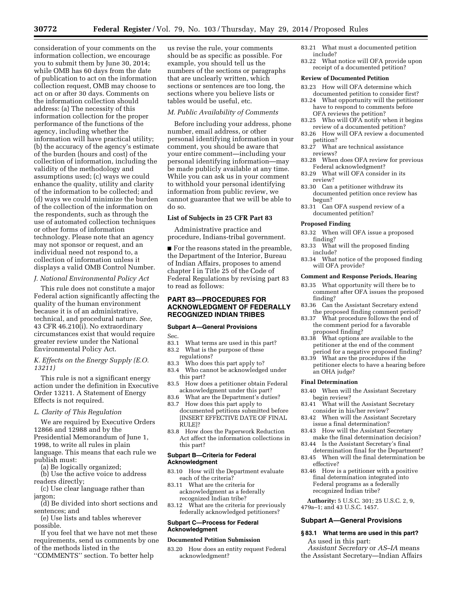consideration of your comments on the information collection, we encourage you to submit them by June 30, 2014; while OMB has 60 days from the date of publication to act on the information collection request, OMB may choose to act on or after 30 days. Comments on the information collection should address: (a) The necessity of this information collection for the proper performance of the functions of the agency, including whether the information will have practical utility; (b) the accuracy of the agency's estimate of the burden (hours and cost) of the collection of information, including the validity of the methodology and assumptions used; (c) ways we could enhance the quality, utility and clarity of the information to be collected; and (d) ways we could minimize the burden of the collection of the information on the respondents, such as through the use of automated collection techniques or other forms of information technology. Please note that an agency may not sponsor or request, and an individual need not respond to, a collection of information unless it displays a valid OMB Control Number.

### *J. National Environmental Policy Act*

This rule does not constitute a major Federal action significantly affecting the quality of the human environment because it is of an administrative, technical, and procedural nature. *See,*  43 CFR 46.210(i). No extraordinary circumstances exist that would require greater review under the National Environmental Policy Act.

### *K. Effects on the Energy Supply (E.O. 13211)*

This rule is not a significant energy action under the definition in Executive Order 13211. A Statement of Energy Effects is not required.

### *L. Clarity of This Regulation*

We are required by Executive Orders 12866 and 12988 and by the Presidential Memorandum of June 1, 1998, to write all rules in plain language. This means that each rule we publish must:

(a) Be logically organized;

(b) Use the active voice to address readers directly;

(c) Use clear language rather than jargon;

(d) Be divided into short sections and sentences; and

(e) Use lists and tables wherever possible.

If you feel that we have not met these requirements, send us comments by one of the methods listed in the

''COMMENTS'' section. To better help

us revise the rule, your comments should be as specific as possible. For example, you should tell us the numbers of the sections or paragraphs that are unclearly written, which sections or sentences are too long, the sections where you believe lists or tables would be useful, etc.

## *M. Public Availability of Comments*

Before including your address, phone number, email address, or other personal identifying information in your comment, you should be aware that your entire comment—including your personal identifying information—may be made publicly available at any time. While you can ask us in your comment to withhold your personal identifying information from public review, we cannot guarantee that we will be able to do so.

## **List of Subjects in 25 CFR Part 83**

Administrative practice and procedure, Indians-tribal government.

■ For the reasons stated in the preamble, the Department of the Interior, Bureau of Indian Affairs, proposes to amend chapter I in Title 25 of the Code of Federal Regulations by revising part 83 to read as follows:

## **PART 83—PROCEDURES FOR ACKNOWLEDGMENT OF FEDERALLY RECOGNIZED INDIAN TRIBES**

### **Subpart A—General Provisions**

Sec.<br>83.1

- What terms are used in this part?
- 83.2 What is the purpose of these regulations?<br>83.3 Who does
- Who does this part apply to?
- 83.4 Who cannot be acknowledged under this part?
- 83.5 How does a petitioner obtain Federal acknowledgment under this part?
- 83.6 What are the Department's duties?

83.7 How does this part apply to documented petitions submitted before [INSERT EFFECTIVE DATE OF FINAL RULE]?

83.8 How does the Paperwork Reduction Act affect the information collections in this part?

### **Subpart B—Criteria for Federal Acknowledgment**

- 83.10 How will the Department evaluate each of the criteria?
- 83.11 What are the criteria for acknowledgment as a federally recognized Indian tribe?
- 83.12 What are the criteria for previously federally acknowledged petitioners?

### **Subpart C—Process for Federal Acknowledgment**

### **Documented Petition Submission**

83.20 How does an entity request Federal acknowledgment?

- 83.21 What must a documented petition include?
- 83.22 What notice will OFA provide upon receipt of a documented petition?

### **Review of Documented Petition**

- 83.23 How will OFA determine which documented petition to consider first?
- 83.24 What opportunity will the petitioner have to respond to comments before OFA reviews the petition?
- 83.25 Who will OFA notify when it begins review of a documented petition?
- 83.26 How will OFA review a documented petition?
- 83.27 What are technical assistance reviews?
- 83.28 When does OFA review for previous Federal acknowledgment?
- 83.29 What will OFA consider in its review?
- 83.30 Can a petitioner withdraw its documented petition once review has begun?
- 83.31 Can OFA suspend review of a documented petition?

#### **Proposed Finding**

- 83.32 When will OFA issue a proposed finding?
- 83.33 What will the proposed finding include?
- 83.34 What notice of the proposed finding will OFA provide?

#### **Comment and Response Periods, Hearing**

- 83.35 What opportunity will there be to comment after OFA issues the proposed finding?
- 83.36 Can the Assistant Secretary extend the proposed finding comment period?
- 83.37 What procedure follows the end of the comment period for a favorable proposed finding?<br>83.38 What options a
- What options are available to the petitioner at the end of the comment
- period for a negative proposed finding?<br>83.39 What are the procedures if the What are the procedures if the petitioner elects to have a hearing before an OHA judge?

#### **Final Determination**

- 83.40 When will the Assistant Secretary begin review?
- 83.41 What will the Assistant Secretary consider in his/her review?
- 83.42 When will the Assistant Secretary issue a final determination?
- 83.43 How will the Assistant Secretary make the final determination decision?
- 83.44 Is the Assistant Secretary's final determination final for the Department?
- 83.45 When will the final determination be effective?
- 83.46 How is a petitioner with a positive final determination integrated into Federal programs as a federally recognized Indian tribe?

**Authority:** 5 U.S.C. 301; 25 U.S.C. 2, 9, 479a–1; and 43 U.S.C. 1457.

# **Subpart A—General Provisions**

- **§ 83.1 What terms are used in this part?**  As used in this part:
- *Assistant Secretary* or *AS–IA* means the Assistant Secretary—Indian Affairs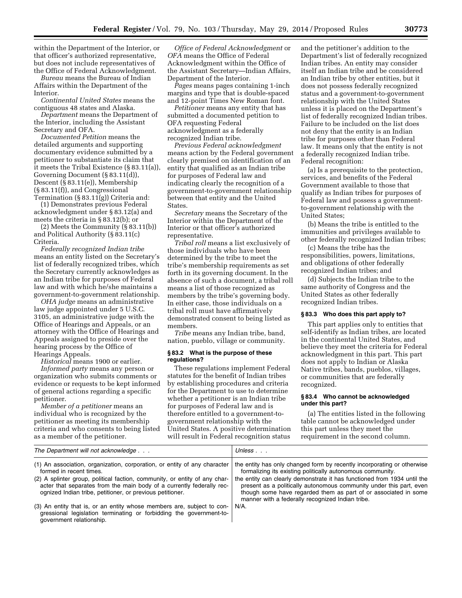within the Department of the Interior, or that officer's authorized representative, but does not include representatives of the Office of Federal Acknowledgment.

*Bureau* means the Bureau of Indian Affairs within the Department of the Interior.

*Continental United States* means the contiguous 48 states and Alaska.

*Department* means the Department of the Interior, including the Assistant Secretary and OFA.

*Documented Petition* means the detailed arguments and supporting documentary evidence submitted by a petitioner to substantiate its claim that it meets the Tribal Existence (§ 83.11(a)), Governing Document (§ 83.11(d)), Descent (§ 83.11(e)), Membership (§ 83.11(f)), and Congressional Termination (§ 83.11(g)) Criteria and:

(1) Demonstrates previous Federal acknowledgment under § 83.12(a) and meets the criteria in § 83.12(b); or

(2) Meets the Community (§ 83.11(b)) and Political Authority (§ 83.11(c) Criteria.

*Federally recognized Indian tribe*  means an entity listed on the Secretary's list of federally recognized tribes, which the Secretary currently acknowledges as an Indian tribe for purposes of Federal law and with which he/she maintains a government-to-government relationship.

*OHA judge* means an administrative law judge appointed under 5 U.S.C. 3105, an administrative judge with the Office of Hearings and Appeals, or an attorney with the Office of Hearings and Appeals assigned to preside over the hearing process by the Office of Hearings Appeals.

*Historical* means 1900 or earlier.

*Informed party* means any person or organization who submits comments or evidence or requests to be kept informed of general actions regarding a specific petitioner.

*Member of a petitioner* means an individual who is recognized by the petitioner as meeting its membership criteria and who consents to being listed as a member of the petitioner.

*Office of Federal Acknowledgment* or *OFA* means the Office of Federal Acknowledgment within the Office of the Assistant Secretary—Indian Affairs, Department of the Interior.

*Pages* means pages containing 1-inch margins and type that is double-spaced and 12-point Times New Roman font.

*Petitioner* means any entity that has submitted a documented petition to OFA requesting Federal acknowledgment as a federally recognized Indian tribe.

*Previous Federal acknowledgment*  means action by the Federal government clearly premised on identification of an entity that qualified as an Indian tribe for purposes of Federal law and indicating clearly the recognition of a government-to-government relationship between that entity and the United States.

*Secretary* means the Secretary of the Interior within the Department of the Interior or that officer's authorized representative.

*Tribal roll* means a list exclusively of those individuals who have been determined by the tribe to meet the tribe's membership requirements as set forth in its governing document. In the absence of such a document, a tribal roll means a list of those recognized as members by the tribe's governing body. In either case, those individuals on a tribal roll must have affirmatively demonstrated consent to being listed as members.

*Tribe* means any Indian tribe, band, nation, pueblo, village or community.

### **§ 83.2 What is the purpose of these regulations?**

These regulations implement Federal statutes for the benefit of Indian tribes by establishing procedures and criteria for the Department to use to determine whether a petitioner is an Indian tribe for purposes of Federal law and is therefore entitled to a government-togovernment relationship with the United States. A positive determination will result in Federal recognition status

and the petitioner's addition to the Department's list of federally recognized Indian tribes. An entity may consider itself an Indian tribe and be considered an Indian tribe by other entities, but it does not possess federally recognized status and a government-to-government relationship with the United States unless it is placed on the Department's list of federally recognized Indian tribes. Failure to be included on the list does not deny that the entity is an Indian tribe for purposes other than Federal law. It means only that the entity is not a federally recognized Indian tribe. Federal recognition:

(a) Is a prerequisite to the protection, services, and benefits of the Federal Government available to those that qualify as Indian tribes for purposes of Federal law and possess a governmentto-government relationship with the United States;

(b) Means the tribe is entitled to the immunities and privileges available to other federally recognized Indian tribes;

(c) Means the tribe has the responsibilities, powers, limitations, and obligations of other federally recognized Indian tribes; and

(d) Subjects the Indian tribe to the same authority of Congress and the United States as other federally recognized Indian tribes.

## **§ 83.3 Who does this part apply to?**

This part applies only to entities that self-identify as Indian tribes, are located in the continental United States, and believe they meet the criteria for Federal acknowledgment in this part. This part does not apply to Indian or Alaska Native tribes, bands, pueblos, villages, or communities that are federally recognized.

### **§ 83.4 Who cannot be acknowledged under this part?**

(a) The entities listed in the following table cannot be acknowledged under this part unless they meet the requirement in the second column.

| The Department will not acknowledge                                                                                                                                                                              | Unless $\ldots$                                                                                                                                                                                                                                                        |  |
|------------------------------------------------------------------------------------------------------------------------------------------------------------------------------------------------------------------|------------------------------------------------------------------------------------------------------------------------------------------------------------------------------------------------------------------------------------------------------------------------|--|
| (1) An association, organization, corporation, or entity of any character<br>formed in recent times.                                                                                                             | the entity has only changed form by recently incorporating or otherwise<br>formalizing its existing politically autonomous community.                                                                                                                                  |  |
| (2) A splinter group, political faction, community, or entity of any char-<br>acter that separates from the main body of a currently federally rec-<br>ognized Indian tribe, petitioner, or previous petitioner. | the entity can clearly demonstrate it has functioned from 1934 until the<br>present as a politically autonomous community under this part, even<br>though some have regarded them as part of or associated in some<br>manner with a federally recognized Indian tribe. |  |
| (3) An entity that is, or an entity whose members are, subject to con- $\vert$ N/A.<br>gressional legislation terminating or forbidding the government-to-<br>government relationship.                           |                                                                                                                                                                                                                                                                        |  |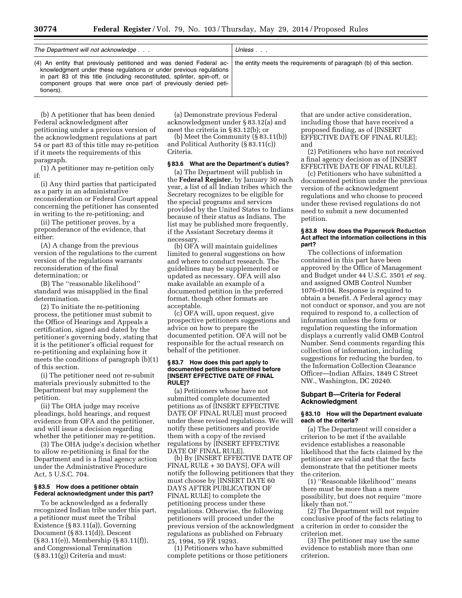| The Department will not acknowledge                                                                                                                                                                                                                                                                                                                                        | Unless |  |
|----------------------------------------------------------------------------------------------------------------------------------------------------------------------------------------------------------------------------------------------------------------------------------------------------------------------------------------------------------------------------|--------|--|
| (4) An entity that previously petitioned and was denied Federal ac- the entity meets the requirements of paragraph (b) of this section.<br>knowledgment under these regulations or under previous regulations<br>in part 83 of this title (including reconstituted, splinter, spin-off, or<br>component groups that were once part of previously denied peti-<br>tioners). |        |  |

(b) A petitioner that has been denied Federal acknowledgment after petitioning under a previous version of the acknowledgment regulations at part 54 or part 83 of this title may re-petition if it meets the requirements of this paragraph.

(1) A petitioner may re-petition only if:

(i) Any third parties that participated as a party in an administrative reconsideration or Federal Court appeal concerning the petitioner has consented in writing to the re-petitioning; and

(ii) The petitioner proves, by a preponderance of the evidence, that either:

(A) A change from the previous version of the regulations to the current version of the regulations warrants reconsideration of the final determination; or

(B) The ''reasonable likelihood'' standard was misapplied in the final determination.

(2) To initiate the re-petitioning process, the petitioner must submit to the Office of Hearings and Appeals a certification, signed and dated by the petitioner's governing body, stating that it is the petitioner's official request for re-petitioning and explaining how it meets the conditions of paragraph (b)(1) of this section.

(i) The petitioner need not re-submit materials previously submitted to the Department but may supplement the petition.

(ii) The OHA judge may receive pleadings, hold hearings, and request evidence from OFA and the petitioner, and will issue a decision regarding whether the petitioner may re-petition.

(3) The OHA judge's decision whether to allow re-petitioning is final for the Department and is a final agency action under the Administrative Procedure Act, 5 U.S.C. 704.

### **§ 83.5 How does a petitioner obtain Federal acknowledgment under this part?**

To be acknowledged as a federally recognized Indian tribe under this part, a petitioner must meet the Tribal Existence (§ 83.11(a)), Governing Document (§ 83.11(d)), Descent (§ 83.11(e)), Membership (§ 83.11(f)), and Congressional Termination (§ 83.11(g)) Criteria and must:

(a) Demonstrate previous Federal acknowledgment under § 83.12(a) and meet the criteria in § 83.12(b); or

(b) Meet the Community (§ 83.11(b)) and Political Authority (§ 83.11(c)) Criteria.

## **§ 83.6 What are the Department's duties?**

(a) The Department will publish in the **Federal Register**, by January 30 each year, a list of all Indian tribes which the Secretary recognizes to be eligible for the special programs and services provided by the United States to Indians because of their status as Indians. The list may be published more frequently, if the Assistant Secretary deems it necessary.

(b) OFA will maintain guidelines limited to general suggestions on how and where to conduct research. The guidelines may be supplemented or updated as necessary. OFA will also make available an example of a documented petition in the preferred format, though other formats are acceptable.

(c) OFA will, upon request, give prospective petitioners suggestions and advice on how to prepare the documented petition. OFA will not be responsible for the actual research on behalf of the petitioner.

### **§ 83.7 How does this part apply to documented petitions submitted before [INSERT EFFECTIVE DATE OF FINAL RULE]?**

(a) Petitioners whose have not submitted complete documented petitions as of [INSERT EFFECTIVE DATE OF FINAL RULE] must proceed under these revised regulations. We will notify these petitioners and provide them with a copy of the revised regulations by [INSERT EFFECTIVE DATE OF FINAL RULE].

(b) By [INSERT EFFECTIVE DATE OF FINAL RULE + 30 DAYS], OFA will notify the following petitioners that they must choose by [INSERT DATE 60 DAYS AFTER PUBLICATION OF FINAL RULE] to complete the petitioning process under these regulations. Otherwise, the following petitioners will proceed under the previous version of the acknowledgment regulations as published on February 25, 1994, 59 FR 19293.

(1) Petitioners who have submitted complete petitions or those petitioners

that are under active consideration, including those that have received a proposed finding, as of [INSERT EFFECTIVE DATE OF FINAL RULE]; and

(2) Petitioners who have not received a final agency decision as of [INSERT EFFECTIVE DATE OF FINAL RULE].

(c) Petitioners who have submitted a documented petition under the previous version of the acknowledgment regulations and who choose to proceed under these revised regulations do not need to submit a new documented petition.

#### **§ 83.8 How does the Paperwork Reduction Act affect the information collections in this part?**

The collections of information contained in this part have been approved by the Office of Management and Budget under 44 U.S.C. 3501 *et seq.*  and assigned OMB Control Number 1076–0104. Response is required to obtain a benefit. A Federal agency may not conduct or sponsor, and you are not required to respond to, a collection of information unless the form or regulation requesting the information displays a currently valid OMB Control Number. Send comments regarding this collection of information, including suggestions for reducing the burden, to the Information Collection Clearance Officer—Indian Affairs, 1849 C Street NW., Washington, DC 20240.

### **Subpart B—Criteria for Federal Acknowledgment**

### **§ 83.10 How will the Department evaluate each of the criteria?**

(a) The Department will consider a criterion to be met if the available evidence establishes a reasonable likelihood that the facts claimed by the petitioner are valid and that the facts demonstrate that the petitioner meets the criterion.

(1) ''Reasonable likelihood'' means there must be more than a mere possibility, but does not require ''more likely than not.''

(2) The Department will not require conclusive proof of the facts relating to a criterion in order to consider the criterion met.

(3) The petitioner may use the same evidence to establish more than one criterion.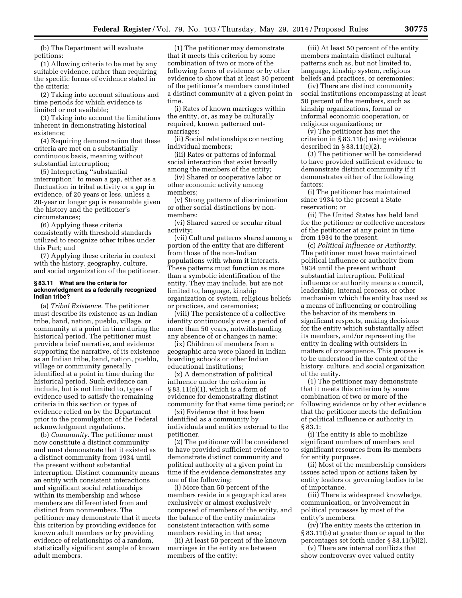(b) The Department will evaluate petitions:

(1) Allowing criteria to be met by any suitable evidence, rather than requiring the specific forms of evidence stated in the criteria;

(2) Taking into account situations and time periods for which evidence is limited or not available;

(3) Taking into account the limitations inherent in demonstrating historical existence;

(4) Requiring demonstration that these criteria are met on a substantially continuous basis, meaning without substantial interruption;

(5) Interpreting ''substantial interruption'' to mean a gap, either as a fluctuation in tribal activity or a gap in evidence, of 20 years or less, unless a 20-year or longer gap is reasonable given the history and the petitioner's circumstances;

(6) Applying these criteria consistently with threshold standards utilized to recognize other tribes under this Part; and

(7) Applying these criteria in context with the history, geography, culture, and social organization of the petitioner.

#### **§ 83.11 What are the criteria for acknowledgment as a federally recognized Indian tribe?**

(a) *Tribal Existence.* The petitioner must describe its existence as an Indian tribe, band, nation, pueblo, village, or community at a point in time during the historical period. The petitioner must provide a brief narrative, and evidence supporting the narrative, of its existence as an Indian tribe, band, nation, pueblo, village or community generally identified at a point in time during the historical period. Such evidence can include, but is not limited to, types of evidence used to satisfy the remaining criteria in this section or types of evidence relied on by the Department prior to the promulgation of the Federal acknowledgment regulations.

(b) *Community.* The petitioner must now constitute a distinct community and must demonstrate that it existed as a distinct community from 1934 until the present without substantial interruption. Distinct community means an entity with consistent interactions and significant social relationships within its membership and whose members are differentiated from and distinct from nonmembers. The petitioner may demonstrate that it meets this criterion by providing evidence for known adult members or by providing evidence of relationships of a random, statistically significant sample of known adult members.

(1) The petitioner may demonstrate that it meets this criterion by some combination of two or more of the following forms of evidence or by other evidence to show that at least 30 percent of the petitioner's members constituted a distinct community at a given point in time.

(i) Rates of known marriages within the entity, or, as may be culturally required, known patterned outmarriages;

(ii) Social relationships connecting individual members;

(iii) Rates or patterns of informal social interaction that exist broadly among the members of the entity;

(iv) Shared or cooperative labor or other economic activity among members;

(v) Strong patterns of discrimination or other social distinctions by nonmembers;

(vi) Shared sacred or secular ritual activity;

(vii) Cultural patterns shared among a portion of the entity that are different from those of the non-Indian populations with whom it interacts. These patterns must function as more than a symbolic identification of the entity. They may include, but are not limited to, language, kinship organization or system, religious beliefs or practices, and ceremonies;

(viii) The persistence of a collective identity continuously over a period of more than 50 years, notwithstanding any absence of or changes in name;

(ix) Children of members from a geographic area were placed in Indian boarding schools or other Indian educational institutions;

(x) A demonstration of political influence under the criterion in § 83.11(c)(1), which is a form of evidence for demonstrating distinct community for that same time period; or

(xi) Evidence that it has been identified as a community by individuals and entities external to the petitioner.

(2) The petitioner will be considered to have provided sufficient evidence to demonstrate distinct community and political authority at a given point in time if the evidence demonstrates any one of the following:

(i) More than 50 percent of the members reside in a geographical area exclusively or almost exclusively composed of members of the entity, and the balance of the entity maintains consistent interaction with some members residing in that area;

(ii) At least 50 percent of the known marriages in the entity are between members of the entity;

(iii) At least 50 percent of the entity members maintain distinct cultural patterns such as, but not limited to, language, kinship system, religious beliefs and practices, or ceremonies;

(iv) There are distinct community social institutions encompassing at least 50 percent of the members, such as kinship organizations, formal or informal economic cooperation, or religious organizations; or

(v) The petitioner has met the criterion in § 83.11(c) using evidence described in  $\S 83.11(c)(2)$ .

(3) The petitioner will be considered to have provided sufficient evidence to demonstrate distinct community if it demonstrates either of the following factors:

(i) The petitioner has maintained since 1934 to the present a State reservation; or

(ii) The United States has held land for the petitioner or collective ancestors of the petitioner at any point in time from 1934 to the present.

(c) *Political Influence or Authority.*  The petitioner must have maintained political influence or authority from 1934 until the present without substantial interruption. Political influence or authority means a council, leadership, internal process, or other mechanism which the entity has used as a means of influencing or controlling the behavior of its members in significant respects, making decisions for the entity which substantially affect its members, and/or representing the entity in dealing with outsiders in matters of consequence. This process is to be understood in the context of the history, culture, and social organization of the entity.

(1) The petitioner may demonstrate that it meets this criterion by some combination of two or more of the following evidence or by other evidence that the petitioner meets the definition of political influence or authority in § 83.1:

(i) The entity is able to mobilize significant numbers of members and significant resources from its members for entity purposes.

(ii) Most of the membership considers issues acted upon or actions taken by entity leaders or governing bodies to be of importance.

(iii) There is widespread knowledge, communication, or involvement in political processes by most of the entity's members.

(iv) The entity meets the criterion in § 83.11(b) at greater than or equal to the percentages set forth under § 83.11(b)(2).

(v) There are internal conflicts that show controversy over valued entity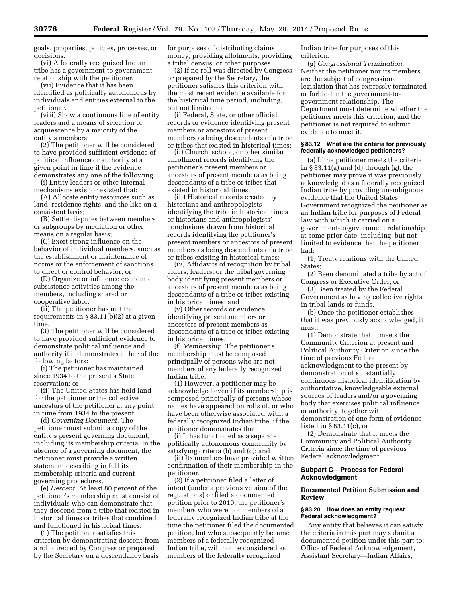goals, properties, policies, processes, or decisions.

(vi) A federally recognized Indian tribe has a government-to-government relationship with the petitioner.

(vii) Evidence that it has been identified as politically autonomous by individuals and entities external to the petitioner.

(viii) Show a continuous line of entity leaders and a means of selection or acquiescence by a majority of the entity's members.

(2) The petitioner will be considered to have provided sufficient evidence of political influence or authority at a given point in time if the evidence demonstrates any one of the following.

(i) Entity leaders or other internal mechanisms exist or existed that:

(A) Allocate entity resources such as land, residence rights, and the like on a consistent basis;

(B) Settle disputes between members or subgroups by mediation or other means on a regular basis;

(C) Exert strong influence on the behavior of individual members, such as the establishment or maintenance of norms or the enforcement of sanctions to direct or control behavior; or

(D) Organize or influence economic subsistence activities among the members, including shared or cooperative labor.

(ii) The petitioner has met the requirements in § 83.11(b)(2) at a given time.

(3) The petitioner will be considered to have provided sufficient evidence to demonstrate political influence and authority if it demonstrates either of the following factors:

(i) The petitioner has maintained since 1934 to the present a State reservation; or

(ii) The United States has held land for the petitioner or the collective ancestors of the petitioner at any point in time from 1934 to the present.

(d) *Governing Document.* The petitioner must submit a copy of the entity's present governing document, including its membership criteria. In the absence of a governing document, the petitioner must provide a written statement describing in full its membership criteria and current governing procedures.

(e) *Descent.* At least 80 percent of the petitioner's membership must consist of individuals who can demonstrate that they descend from a tribe that existed in historical times or tribes that combined and functioned in historical times.

(1) The petitioner satisfies this criterion by demonstrating descent from a roll directed by Congress or prepared by the Secretary on a descendancy basis

for purposes of distributing claims money, providing allotments, providing a tribal census, or other purposes.

(2) If no roll was directed by Congress or prepared by the Secretary, the petitioner satisfies this criterion with the most recent evidence available for the historical time period, including, but not limited to:

(i) Federal, State, or other official records or evidence identifying present members or ancestors of present members as being descendants of a tribe or tribes that existed in historical times;

(ii) Church, school, or other similar enrollment records identifying the petitioner's present members or ancestors of present members as being descendants of a tribe or tribes that existed in historical times;

(iii) Historical records created by historians and anthropologists identifying the tribe in historical times or historians and anthropologists' conclusions drawn from historical records identifying the petitioner's present members or ancestors of present members as being descendants of a tribe or tribes existing in historical times;

(iv) Affidavits of recognition by tribal elders, leaders, or the tribal governing body identifying present members or ancestors of present members as being descendants of a tribe or tribes existing in historical times; and

(v) Other records or evidence identifying present members or ancestors of present members as descendants of a tribe or tribes existing in historical times.

(f) *Membership.* The petitioner's membership must be composed principally of persons who are not members of any federally recognized Indian tribe.

(1) However, a petitioner may be acknowledged even if its membership is composed principally of persons whose names have appeared on rolls of, or who have been otherwise associated with, a federally recognized Indian tribe, if the petitioner demonstrates that:

(i) It has functioned as a separate politically autonomous community by satisfying criteria (b) and (c); and

(ii) Its members have provided written confirmation of their membership in the petitioner.

(2) If a petitioner filed a letter of intent (under a previous version of the regulations) or filed a documented petition prior to 2010, the petitioner's members who were not members of a federally recognized Indian tribe at the time the petitioner filed the documented petition, but who subsequently became members of a federally recognized Indian tribe, will not be considered as members of the federally recognized

Indian tribe for purposes of this criterion.

(g) *Congressional Termination.*  Neither the petitioner nor its members are the subject of congressional legislation that has expressly terminated or forbidden the government-togovernment relationship. The Department must determine whether the petitioner meets this criterion, and the petitioner is not required to submit evidence to meet it.

### **§ 83.12 What are the criteria for previously federally acknowledged petitioners?**

(a) If the petitioner meets the criteria in § 83.11(a) and (d) through (g), the petitioner may prove it was previously acknowledged as a federally recognized Indian tribe by providing unambiguous evidence that the United States Government recognized the petitioner as an Indian tribe for purposes of Federal law with which it carried on a government-to-government relationship at some prior date, including, but not limited to evidence that the petitioner had:

(1) Treaty relations with the United States;

(2) Been denominated a tribe by act of Congress or Executive Order; or

(3) Been treated by the Federal Government as having collective rights in tribal lands or funds.

(b) Once the petitioner establishes that it was previously acknowledged, it must:

(1) Demonstrate that it meets the Community Criterion at present and Political Authority Criterion since the time of previous Federal acknowledgment to the present by demonstration of substantially continuous historical identification by authoritative, knowledgeable external sources of leaders and/or a governing body that exercises political influence or authority, together with demonstration of one form of evidence listed in § 83.11(c), or

(2) Demonstrate that it meets the Community and Political Authority Criteria since the time of previous Federal acknowledgment.

## **Subpart C—Process for Federal Acknowledgment**

## **Documented Petition Submission and Review**

### **§ 83.20 How does an entity request Federal acknowledgment?**

Any entity that believes it can satisfy the criteria in this part may submit a documented petition under this part to: Office of Federal Acknowledgement, Assistant Secretary—Indian Affairs,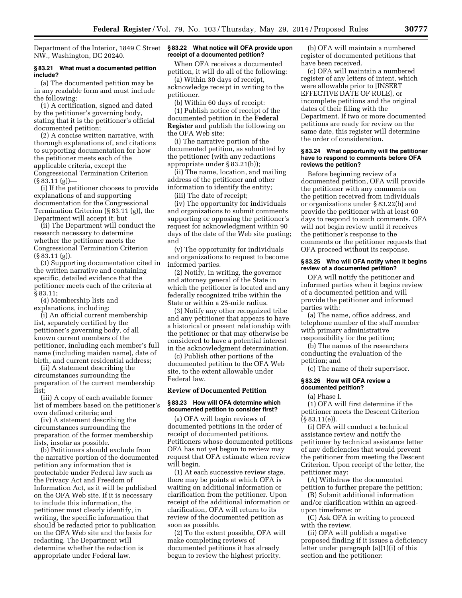Department of the Interior, 1849 C Street NW., Washington, DC 20240.

## **§ 83.21 What must a documented petition include?**

(a) The documented petition may be in any readable form and must include the following:

(1) A certification, signed and dated by the petitioner's governing body, stating that it is the petitioner's official documented petition;

(2) A concise written narrative, with thorough explanations of, and citations to supporting documentation for how the petitioner meets each of the applicable criteria, except the Congressional Termination Criterion  $(\S 83.11 (g))$ 

(i) If the petitioner chooses to provide explanations of and supporting documentation for the Congressional Termination Criterion (§ 83.11 (g)), the Department will accept it; but

(ii) The Department will conduct the research necessary to determine whether the petitioner meets the Congressional Termination Criterion (§ 83.11 (g)).

(3) Supporting documentation cited in the written narrative and containing specific, detailed evidence that the petitioner meets each of the criteria at § 83.11;

(4) Membership lists and explanations, including:

(i) An official current membership list, separately certified by the petitioner's governing body, of all known current members of the petitioner, including each member's full name (including maiden name), date of birth, and current residential address;

(ii) A statement describing the circumstances surrounding the preparation of the current membership list;

(iii) A copy of each available former list of members based on the petitioner's own defined criteria; and

(iv) A statement describing the circumstances surrounding the preparation of the former membership lists, insofar as possible.

(b) Petitioners should exclude from the narrative portion of the documented petition any information that is protectable under Federal law such as the Privacy Act and Freedom of Information Act, as it will be published on the OFA Web site. If it is necessary to include this information, the petitioner must clearly identify, in writing, the specific information that should be redacted prior to publication on the OFA Web site and the basis for redacting. The Department will determine whether the redaction is appropriate under Federal law.

## **§ 83.22 What notice will OFA provide upon receipt of a documented petition?**

When OFA receives a documented petition, it will do all of the following:

(a) Within 30 days of receipt, acknowledge receipt in writing to the petitioner.

(b) Within 60 days of receipt:

(1) Publish notice of receipt of the documented petition in the **Federal Register** and publish the following on the OFA Web site:

(i) The narrative portion of the documented petition, as submitted by the petitioner (with any redactions appropriate under § 83.21(b));

(ii) The name, location, and mailing address of the petitioner and other information to identify the entity;

(iii) The date of receipt;

(iv) The opportunity for individuals and organizations to submit comments supporting or opposing the petitioner's request for acknowledgment within 90 days of the date of the Web site posting; and

(v) The opportunity for individuals and organizations to request to become informed parties.

(2) Notify, in writing, the governor and attorney general of the State in which the petitioner is located and any federally recognized tribe within the State or within a 25-mile radius.

(3) Notify any other recognized tribe and any petitioner that appears to have a historical or present relationship with the petitioner or that may otherwise be considered to have a potential interest in the acknowledgment determination.

(c) Publish other portions of the documented petition to the OFA Web site, to the extent allowable under Federal law.

### **Review of Documented Petition**

### **§ 83.23 How will OFA determine which documented petition to consider first?**

(a) OFA will begin reviews of documented petitions in the order of receipt of documented petitions. Petitioners whose documented petitions OFA has not yet begun to review may request that OFA estimate when review will begin.

(1) At each successive review stage, there may be points at which OFA is waiting on additional information or clarification from the petitioner. Upon receipt of the additional information or clarification, OFA will return to its review of the documented petition as soon as possible.

(2) To the extent possible, OFA will make completing reviews of documented petitions it has already begun to review the highest priority.

(b) OFA will maintain a numbered register of documented petitions that have been received.

(c) OFA will maintain a numbered register of any letters of intent, which were allowable prior to [INSERT EFFECTIVE DATE OF RULE], or incomplete petitions and the original dates of their filing with the Department. If two or more documented petitions are ready for review on the same date, this register will determine the order of consideration.

### **§ 83.24 What opportunity will the petitioner have to respond to comments before OFA reviews the petition?**

Before beginning review of a documented petition, OFA will provide the petitioner with any comments on the petition received from individuals or organizations under § 83.22(b) and provide the petitioner with at least 60 days to respond to such comments. OFA will not begin review until it receives the petitioner's response to the comments or the petitioner requests that OFA proceed without its response.

### **§ 83.25 Who will OFA notify when it begins review of a documented petition?**

OFA will notify the petitioner and informed parties when it begins review of a documented petition and will provide the petitioner and informed parties with:

(a) The name, office address, and telephone number of the staff member with primary administrative responsibility for the petition;

(b) The names of the researchers conducting the evaluation of the petition; and

(c) The name of their supervisor.

### **§ 83.26 How will OFA review a documented petition?**

(a) Phase I.

(1) OFA will first determine if the petitioner meets the Descent Criterion (§ 83.11(e)).

(i) OFA will conduct a technical assistance review and notify the petitioner by technical assistance letter of any deficiencies that would prevent the petitioner from meeting the Descent Criterion. Upon receipt of the letter, the petitioner may:

(A) Withdraw the documented petition to further prepare the petition;

(B) Submit additional information and/or clarification within an agreedupon timeframe; or

(C) Ask OFA in writing to proceed with the review.

(ii) OFA will publish a negative proposed finding if it issues a deficiency letter under paragraph (a)(1)(i) of this section and the petitioner: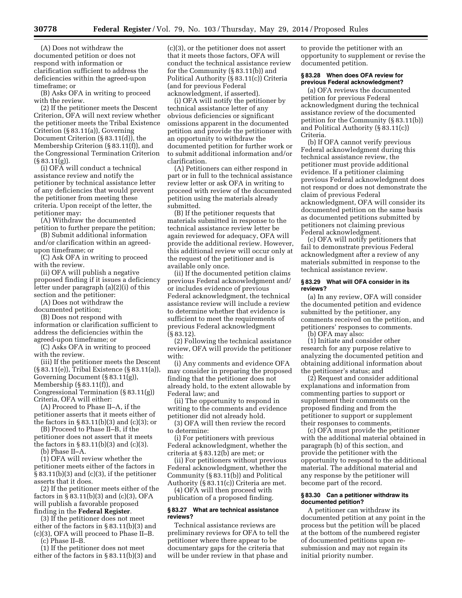(A) Does not withdraw the documented petition or does not respond with information or clarification sufficient to address the deficiencies within the agreed-upon timeframe; or

(B) Asks OFA in writing to proceed with the review.

(2) If the petitioner meets the Descent Criterion, OFA will next review whether the petitioner meets the Tribal Existence Criterion (§ 83.11(a)), Governing Document Criterion (§ 83.11(d)), the Membership Criterion (§ 83.11(f)), and the Congressional Termination Criterion  $(\S 83.11(g)).$ 

(i) OFA will conduct a technical assistance review and notify the petitioner by technical assistance letter of any deficiencies that would prevent the petitioner from meeting these criteria. Upon receipt of the letter, the petitioner may:

(A) Withdraw the documented petition to further prepare the petition;

(B) Submit additional information and/or clarification within an agreedupon timeframe; or

(C) Ask OFA in writing to proceed with the review.

(ii) OFA will publish a negative proposed finding if it issues a deficiency letter under paragraph (a)(2)(i) of this section and the petitioner:

(A) Does not withdraw the documented petition;

(B) Does not respond with information or clarification sufficient to address the deficiencies within the agreed-upon timeframe; or

(C) Asks OFA in writing to proceed with the review.

(iii) If the petitioner meets the Descent (§ 83.11(e)), Tribal Existence (§ 83.11(a)), Governing Document (§ 83.11(g)), Membership (§ 83.11(f)), and Congressional Termination (§ 83.11(g)) Criteria, OFA will either:

(A) Proceed to Phase II–A, if the petitioner asserts that it meets either of the factors in  $\S 83.11(b)(3)$  and  $(c)(3)$ ; or

(B) Proceed to Phase II–B, if the petitioner does not assert that it meets the factors in  $\S 83.11(b)(3)$  and (c)(3).

(b) Phase II–A.

(1) OFA will review whether the petitioner meets either of the factors in  $§ 83.11(b)(3)$  and (c)(3), if the petitioner asserts that it does.

(2) If the petitioner meets either of the factors in § 83.11(b)(3) and (c)(3), OFA will publish a favorable proposed finding in the **Federal Register**.

(3) If the petitioner does not meet either of the factors in § 83.11(b)(3) and (c)(3), OFA will proceed to Phase II–B. (c) Phase II–B.

(1) If the petitioner does not meet

either of the factors in § 83.11(b)(3) and

(c)(3), or the petitioner does not assert that it meets those factors, OFA will conduct the technical assistance review for the Community (§ 83.11(b)) and Political Authority (§ 83.11(c)) Criteria (and for previous Federal acknowledgment, if asserted).

(i) OFA will notify the petitioner by technical assistance letter of any obvious deficiencies or significant omissions apparent in the documented petition and provide the petitioner with an opportunity to withdraw the documented petition for further work or to submit additional information and/or clarification.

(A) Petitioners can either respond in part or in full to the technical assistance review letter or ask OFA in writing to proceed with review of the documented petition using the materials already submitted.

(B) If the petitioner requests that materials submitted in response to the technical assistance review letter be again reviewed for adequacy, OFA will provide the additional review. However, this additional review will occur only at the request of the petitioner and is available only once.

(ii) If the documented petition claims previous Federal acknowledgment and/ or includes evidence of previous Federal acknowledgment, the technical assistance review will include a review to determine whether that evidence is sufficient to meet the requirements of previous Federal acknowledgment (§ 83.12).

(2) Following the technical assistance review, OFA will provide the petitioner with:

(i) Any comments and evidence OFA may consider in preparing the proposed finding that the petitioner does not already hold, to the extent allowable by Federal law; and

(ii) The opportunity to respond in writing to the comments and evidence petitioner did not already hold.

(3) OFA will then review the record to determine:

(i) For petitioners with previous Federal acknowledgment, whether the criteria at § 83.12(b) are met; or

(ii) For petitioners without previous Federal acknowledgment, whether the Community (§ 83.11(b)) and Political Authority (§ 83.11(c)) Criteria are met.

(4) OFA will then proceed with publication of a proposed finding.

## **§ 83.27 What are technical assistance reviews?**

Technical assistance reviews are preliminary reviews for OFA to tell the petitioner where there appear to be documentary gaps for the criteria that will be under review in that phase and

to provide the petitioner with an opportunity to supplement or revise the documented petition.

### **§ 83.28 When does OFA review for previous Federal acknowledgment?**

(a) OFA reviews the documented petition for previous Federal acknowledgment during the technical assistance review of the documented petition for the Community (§ 83.11(b)) and Political Authority (§ 83.11(c)) Criteria.

(b) If OFA cannot verify previous Federal acknowledgment during this technical assistance review, the petitioner must provide additional evidence. If a petitioner claiming previous Federal acknowledgment does not respond or does not demonstrate the claim of previous Federal acknowledgment, OFA will consider its documented petition on the same basis as documented petitions submitted by petitioners not claiming previous Federal acknowledgment.

(c) OFA will notify petitioners that fail to demonstrate previous Federal acknowledgment after a review of any materials submitted in response to the technical assistance review.

### **§ 83.29 What will OFA consider in its reviews?**

(a) In any review, OFA will consider the documented petition and evidence submitted by the petitioner, any comments received on the petition, and petitioners' responses to comments.

(b) OFA may also: (1) Initiate and consider other

research for any purpose relative to analyzing the documented petition and obtaining additional information about the petitioner's status; and

(2) Request and consider additional explanations and information from commenting parties to support or supplement their comments on the proposed finding and from the petitioner to support or supplement their responses to comments.

(c) OFA must provide the petitioner with the additional material obtained in paragraph (b) of this section, and provide the petitioner with the opportunity to respond to the additional material. The additional material and any response by the petitioner will become part of the record.

### **§ 83.30 Can a petitioner withdraw its documented petition?**

A petitioner can withdraw its documented petition at any point in the process but the petition will be placed at the bottom of the numbered register of documented petitions upon resubmission and may not regain its initial priority number.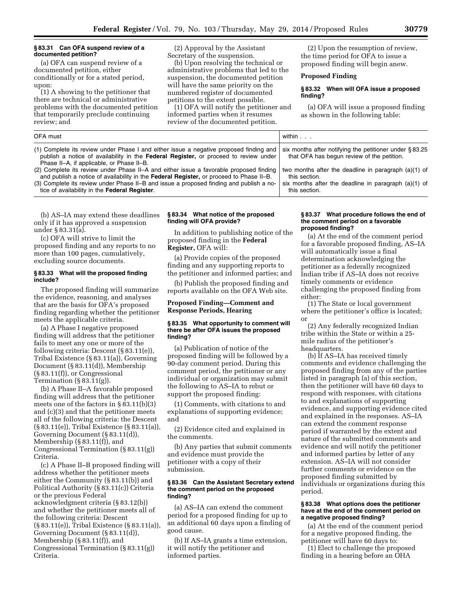### **§ 83.31 Can OFA suspend review of a documented petition?**

(a) OFA can suspend review of a documented petition, either conditionally or for a stated period, upon:

(1) A showing to the petitioner that there are technical or administrative problems with the documented petition that temporarily preclude continuing review; and

(2) Approval by the Assistant Secretary of the suspension.

(b) Upon resolving the technical or administrative problems that led to the suspension, the documented petition will have the same priority on the numbered register of documented petitions to the extent possible.

(1) OFA will notify the petitioner and informed parties when it resumes review of the documented petition.

(2) Upon the resumption of review, the time period for OFA to issue a proposed finding will begin anew.

### **Proposed Finding**

### **§ 83.32 When will OFA issue a proposed finding?**

(a) OFA will issue a proposed finding as shown in the following table:

| OFA must                                                                                                                                                                                                                                                                     | within                                                                                                                        |
|------------------------------------------------------------------------------------------------------------------------------------------------------------------------------------------------------------------------------------------------------------------------------|-------------------------------------------------------------------------------------------------------------------------------|
| (1) Complete its review under Phase I and either issue a negative proposed finding and<br>publish a notice of availability in the Federal Register, or proceed to review under<br>Phase II-A, if applicable, or Phase II-B.                                                  | six months after notifying the petitioner under §83.25<br>that OFA has begun review of the petition.                          |
| (2) Complete its review under Phase II-A and either issue a favorable proposed finding<br>and publish a notice of availability in the Federal Register, or proceed to Phase II-B.<br>(3) Complete its review under Phase II-B and issue a proposed finding and publish a no- | two months after the deadline in paragraph (a)(1) of<br>this section.<br>six months after the deadline in paragraph (a)(1) of |
| tice of availability in the Federal Register.                                                                                                                                                                                                                                | this section.                                                                                                                 |

(b) AS–IA may extend these deadlines only if it has approved a suspension under § 83.31(a).

(c) OFA will strive to limit the proposed finding and any reports to no more than 100 pages, cumulatively, excluding source documents.

### **§ 83.33 What will the proposed finding include?**

The proposed finding will summarize the evidence, reasoning, and analyses that are the basis for OFA's proposed finding regarding whether the petitioner meets the applicable criteria.

(a) A Phase I negative proposed finding will address that the petitioner fails to meet any one or more of the following criteria: Descent (§ 83.11(e)), Tribal Existence (§ 83.11(a)), Governing Document (§ 83.11(d)), Membership (§ 83.11(f)), or Congressional Termination (§ 83.11(g)).

(b) A Phase II–A favorable proposed finding will address that the petitioner meets one of the factors in § 83.11(b)(3) and (c)(3) and that the petitioner meets all of the following criteria: the Descent (§ 83.11(e)), Tribal Existence (§ 83.11(a)), Governing Document (§ 83.11(d)), Membership (§ 83.11(f)), and Congressional Termination (§ 83.11(g)) Criteria.

(c) A Phase II–B proposed finding will address whether the petitioner meets either the Community (§ 83.11(b)) and Political Authority (§ 83.11(c)) Criteria or the previous Federal acknowledgment criteria (§ 83.12(b)) and whether the petitioner meets all of the following criteria: Descent (§ 83.11(e)), Tribal Existence (§ 83.11(a)), Governing Document (§ 83.11(d)), Membership (§ 83.11(f)), and Congressional Termination (§ 83.11(g)) Criteria.

## **§ 83.34 What notice of the proposed finding will OFA provide?**

In addition to publishing notice of the proposed finding in the **Federal Register,** OFA will:

(a) Provide copies of the proposed finding and any supporting reports to the petitioner and informed parties; and

(b) Publish the proposed finding and reports available on the OFA Web site.

## **Proposed Finding—Comment and Response Periods, Hearing**

### **§ 83.35 What opportunity to comment will there be after OFA issues the proposed finding?**

(a) Publication of notice of the proposed finding will be followed by a 90-day comment period. During this comment period, the petitioner or any individual or organization may submit the following to AS–IA to rebut or support the proposed finding:

(1) Comments, with citations to and explanations of supporting evidence; and

(2) Evidence cited and explained in the comments.

(b) Any parties that submit comments and evidence must provide the petitioner with a copy of their submission.

#### **§ 83.36 Can the Assistant Secretary extend the comment period on the proposed finding?**

(a) AS–IA can extend the comment period for a proposed finding for up to an additional 60 days upon a finding of good cause.

(b) If AS–IA grants a time extension, it will notify the petitioner and informed parties.

### **§ 83.37 What procedure follows the end of the comment period on a favorable proposed finding?**

(a) At the end of the comment period for a favorable proposed finding, AS–IA will automatically issue a final determination acknowledging the petitioner as a federally recognized Indian tribe if AS–IA does not receive timely comments or evidence challenging the proposed finding from either:

(1) The State or local government where the petitioner's office is located; or

(2) Any federally recognized Indian tribe within the State or within a 25 mile radius of the petitioner's headquarters.

(b) If AS–IA has received timely comments and evidence challenging the proposed finding from any of the parties listed in paragraph (a) of this section, then the petitioner will have 60 days to respond with responses, with citations to and explanations of supporting evidence, and supporting evidence cited and explained in the responses. AS–IA can extend the comment response period if warranted by the extent and nature of the submitted comments and evidence and will notify the petitioner and informed parties by letter of any extension. AS–IA will not consider further comments or evidence on the proposed finding submitted by individuals or organizations during this period.

### **§ 83.38 What options does the petitioner have at the end of the comment period on a negative proposed finding?**

(a) At the end of the comment period for a negative proposed finding, the petitioner will have 60 days to:

(1) Elect to challenge the proposed finding in a hearing before an OHA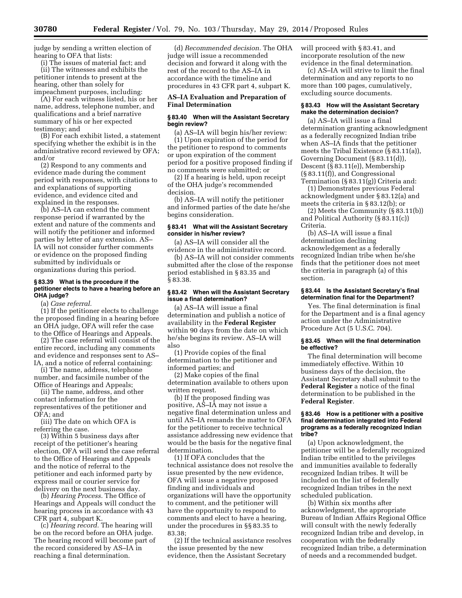judge by sending a written election of hearing to OFA that lists:

(i) The issues of material fact; and (ii) The witnesses and exhibits the petitioner intends to present at the hearing, other than solely for impeachment purposes, including:

(A) For each witness listed, his or her name, address, telephone number, and qualifications and a brief narrative summary of his or her expected testimony; and

(B) For each exhibit listed, a statement specifying whether the exhibit is in the administrative record reviewed by OFA; and/or

(2) Respond to any comments and evidence made during the comment period with responses, with citations to and explanations of supporting evidence, and evidence cited and explained in the responses.

(b) AS–IA can extend the comment response period if warranted by the extent and nature of the comments and will notify the petitioner and informed parties by letter of any extension. AS– IA will not consider further comments or evidence on the proposed finding submitted by individuals or organizations during this period.

### **§ 83.39 What is the procedure if the petitioner elects to have a hearing before an OHA judge?**

(a) *Case referral.* 

(1) If the petitioner elects to challenge the proposed finding in a hearing before an OHA judge, OFA will refer the case to the Office of Hearings and Appeals.

(2) The case referral will consist of the entire record, including any comments and evidence and responses sent to AS– IA, and a notice of referral containing:

(i) The name, address, telephone number, and facsimile number of the Office of Hearings and Appeals;

(ii) The name, address, and other contact information for the representatives of the petitioner and OFA; and

(iii) The date on which OFA is referring the case.

(3) Within 5 business days after receipt of the petitioner's hearing election, OFA will send the case referral to the Office of Hearings and Appeals and the notice of referral to the petitioner and each informed party by express mail or courier service for delivery on the next business day.

(b) *Hearing Process.* The Office of Hearings and Appeals will conduct the hearing process in accordance with 43 CFR part 4, subpart K.

(c) *Hearing record.* The hearing will be on the record before an OHA judge. The hearing record will become part of the record considered by AS–IA in reaching a final determination.

(d) *Recommended decision.* The OHA judge will issue a recommended decision and forward it along with the rest of the record to the AS–IA in accordance with the timeline and procedures in 43 CFR part 4, subpart K.

### **AS–IA Evaluation and Preparation of Final Determination**

### **§ 83.40 When will the Assistant Secretary begin review?**

(a) AS–IA will begin his/her review: (1) Upon expiration of the period for the petitioner to respond to comments or upon expiration of the comment period for a positive proposed finding if no comments were submitted; or

(2) If a hearing is held, upon receipt of the OHA judge's recommended decision.

(b) AS–IA will notify the petitioner and informed parties of the date he/she begins consideration.

### **§ 83.41 What will the Assistant Secretary consider in his/her review?**

(a) AS–IA will consider all the evidence in the administrative record.

(b) AS–IA will not consider comments submitted after the close of the response period established in § 83.35 and § 83.38.

#### **§ 83.42 When will the Assistant Secretary issue a final determination?**

(a) AS–IA will issue a final determination and publish a notice of availability in the **Federal Register**  within 90 days from the date on which he/she begins its review. AS–IA will also

(1) Provide copies of the final determination to the petitioner and informed parties; and

(2) Make copies of the final determination available to others upon written request.

(b) If the proposed finding was positive, AS–IA may not issue a negative final determination unless and until AS–IA remands the matter to OFA for the petitioner to receive technical assistance addressing new evidence that would be the basis for the negative final determination.

(1) If OFA concludes that the technical assistance does not resolve the issue presented by the new evidence, OFA will issue a negative proposed finding and individuals and organizations will have the opportunity to comment, and the petitioner will have the opportunity to respond to comments and elect to have a hearing, under the procedures in §§ 83.35 to 83.38;

(2) If the technical assistance resolves the issue presented by the new evidence, then the Assistant Secretary

will proceed with § 83.41, and incorporate resolution of the new evidence in the final determination.

(c) AS–IA will strive to limit the final determination and any reports to no more than 100 pages, cumulatively, excluding source documents.

## **§ 83.43 How will the Assistant Secretary make the determination decision?**

(a) AS–IA will issue a final determination granting acknowledgment as a federally recognized Indian tribe when AS–IA finds that the petitioner meets the Tribal Existence (§ 83.11(a)), Governing Document (§ 83.11(d)), Descent (§ 83.11(e)), Membership (§ 83.11(f)), and Congressional Termination (§ 83.11(g)) Criteria and:

(1) Demonstrates previous Federal acknowledgment under § 83.12(a) and meets the criteria in § 83.12(b); or

(2) Meets the Community (§ 83.11(b)) and Political Authority (§ 83.11(c)) Criteria.

(b) AS–IA will issue a final determination declining acknowledgement as a federally recognized Indian tribe when he/she finds that the petitioner does not meet the criteria in paragraph (a) of this section.

### **§ 83.44 Is the Assistant Secretary's final determination final for the Department?**

Yes. The final determination is final for the Department and is a final agency action under the Administrative Procedure Act (5 U.S.C. 704).

### **§ 83.45 When will the final determination be effective?**

The final determination will become immediately effective. Within 10 business days of the decision, the Assistant Secretary shall submit to the **Federal Register** a notice of the final determination to be published in the **Federal Register**.

### **§ 83.46 How is a petitioner with a positive final determination integrated into Federal programs as a federally recognized Indian tribe?**

(a) Upon acknowledgment, the petitioner will be a federally recognized Indian tribe entitled to the privileges and immunities available to federally recognized Indian tribes. It will be included on the list of federally recognized Indian tribes in the next scheduled publication.

(b) Within six months after acknowledgment, the appropriate Bureau of Indian Affairs Regional Office will consult with the newly federally recognized Indian tribe and develop, in cooperation with the federally recognized Indian tribe, a determination of needs and a recommended budget.